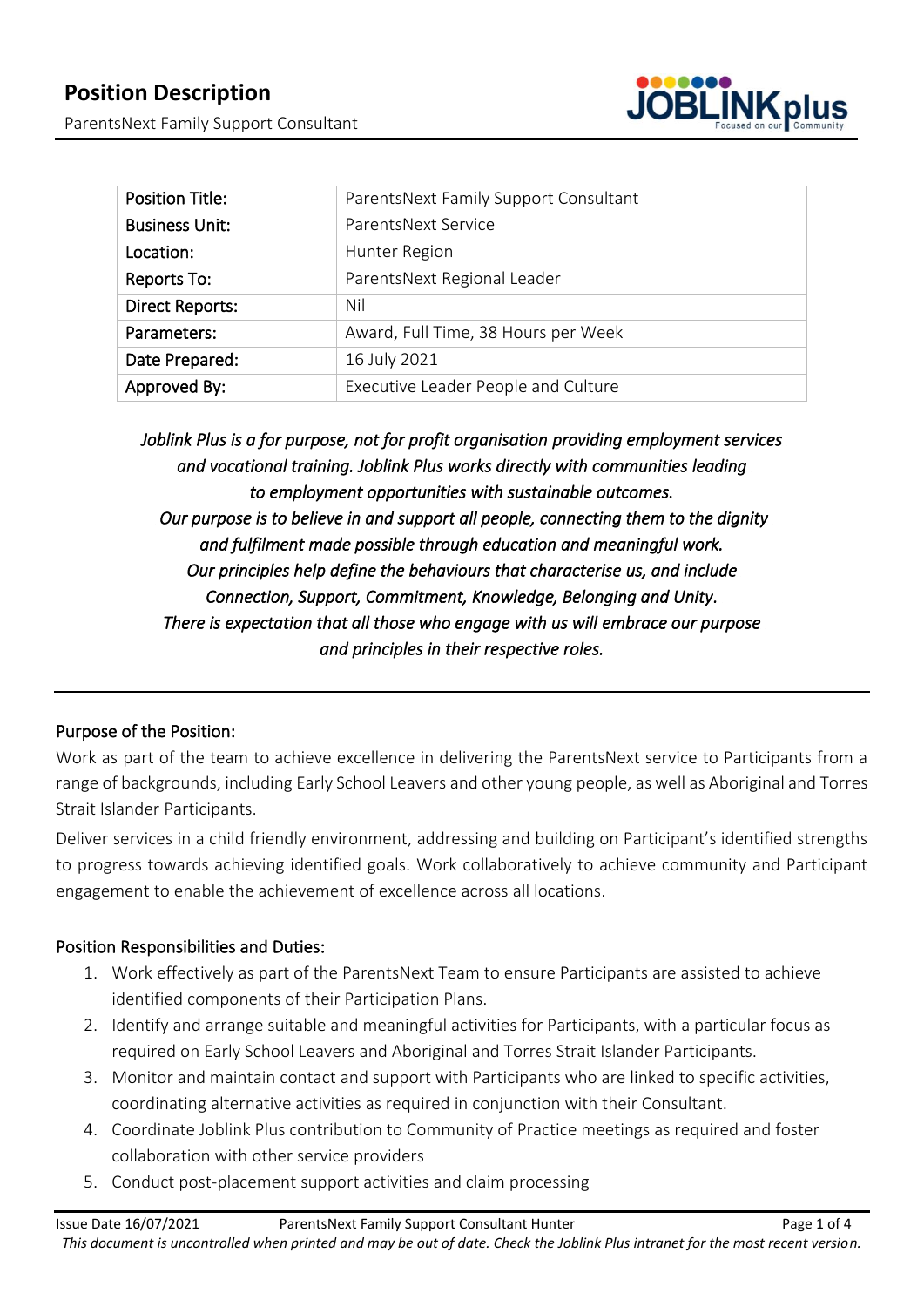

| <b>Position Title:</b> | ParentsNext Family Support Consultant |
|------------------------|---------------------------------------|
| <b>Business Unit:</b>  | ParentsNext Service                   |
| Location:              | Hunter Region                         |
| Reports To:            | ParentsNext Regional Leader           |
| <b>Direct Reports:</b> | Nil                                   |
| Parameters:            | Award, Full Time, 38 Hours per Week   |
| Date Prepared:         | 16 July 2021                          |
| Approved By:           | Executive Leader People and Culture   |

*Joblink Plus is a for purpose, not for profit organisation providing employment services and vocational training. Joblink Plus works directly with communities leading to employment opportunities with sustainable outcomes. Our purpose is to believe in and support all people, connecting them to the dignity and fulfilment made possible through education and meaningful work. Our principles help define the behaviours that characterise us, and include Connection, Support, Commitment, Knowledge, Belonging and Unity. There is expectation that all those who engage with us will embrace our purpose and principles in their respective roles.* 

# Purpose of the Position:

Work as part of the team to achieve excellence in delivering the ParentsNext service to Participants from a range of backgrounds, including Early School Leavers and other young people, as well as Aboriginal and Torres Strait Islander Participants.

Deliver services in a child friendly environment, addressing and building on Participant's identified strengths to progress towards achieving identified goals. Work collaboratively to achieve community and Participant engagement to enable the achievement of excellence across all locations.

# Position Responsibilities and Duties:

- 1. Work effectively as part of the ParentsNext Team to ensure Participants are assisted to achieve identified components of their Participation Plans.
- 2. Identify and arrange suitable and meaningful activities for Participants, with a particular focus as required on Early School Leavers and Aboriginal and Torres Strait Islander Participants.
- 3. Monitor and maintain contact and support with Participants who are linked to specific activities, coordinating alternative activities as required in conjunction with their Consultant.
- 4. Coordinate Joblink Plus contribution to Community of Practice meetings as required and foster collaboration with other service providers
- 5. Conduct post-placement support activities and claim processing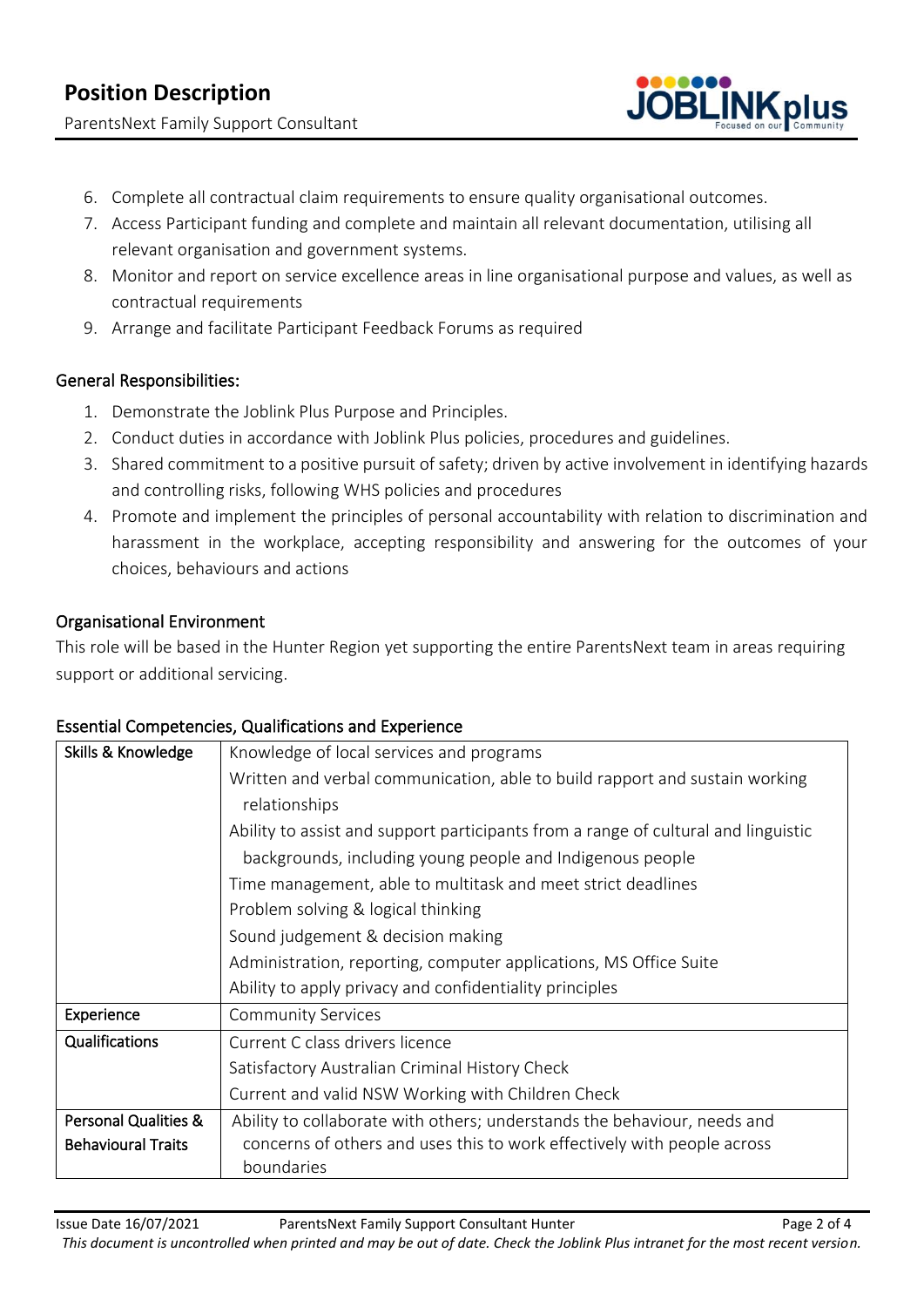ParentsNext Family Support Consultant



- 6. Complete all contractual claim requirements to ensure quality organisational outcomes.
- 7. Access Participant funding and complete and maintain all relevant documentation, utilising all relevant organisation and government systems.
- 8. Monitor and report on service excellence areas in line organisational purpose and values, as well as contractual requirements
- 9. Arrange and facilitate Participant Feedback Forums as required

# General Responsibilities:

- 1. Demonstrate the Joblink Plus Purpose and Principles.
- 2. Conduct duties in accordance with Joblink Plus policies, procedures and guidelines.
- 3. Shared commitment to a positive pursuit of safety; driven by active involvement in identifying hazards and controlling risks, following WHS policies and procedures
- 4. Promote and implement the principles of personal accountability with relation to discrimination and harassment in the workplace, accepting responsibility and answering for the outcomes of your choices, behaviours and actions

# Organisational Environment

This role will be based in the Hunter Region yet supporting the entire ParentsNext team in areas requiring support or additional servicing.

| Skills & Knowledge        | Knowledge of local services and programs                                           |
|---------------------------|------------------------------------------------------------------------------------|
|                           | Written and verbal communication, able to build rapport and sustain working        |
|                           | relationships                                                                      |
|                           | Ability to assist and support participants from a range of cultural and linguistic |
|                           | backgrounds, including young people and Indigenous people                          |
|                           | Time management, able to multitask and meet strict deadlines                       |
|                           | Problem solving & logical thinking                                                 |
|                           | Sound judgement & decision making                                                  |
|                           | Administration, reporting, computer applications, MS Office Suite                  |
|                           | Ability to apply privacy and confidentiality principles                            |
| Experience                | <b>Community Services</b>                                                          |
| Qualifications            | Current C class drivers licence                                                    |
|                           | Satisfactory Australian Criminal History Check                                     |
|                           | Current and valid NSW Working with Children Check                                  |
| Personal Qualities &      | Ability to collaborate with others; understands the behaviour, needs and           |
| <b>Behavioural Traits</b> | concerns of others and uses this to work effectively with people across            |
|                           | boundaries                                                                         |

# Essential Competencies, Qualifications and Experience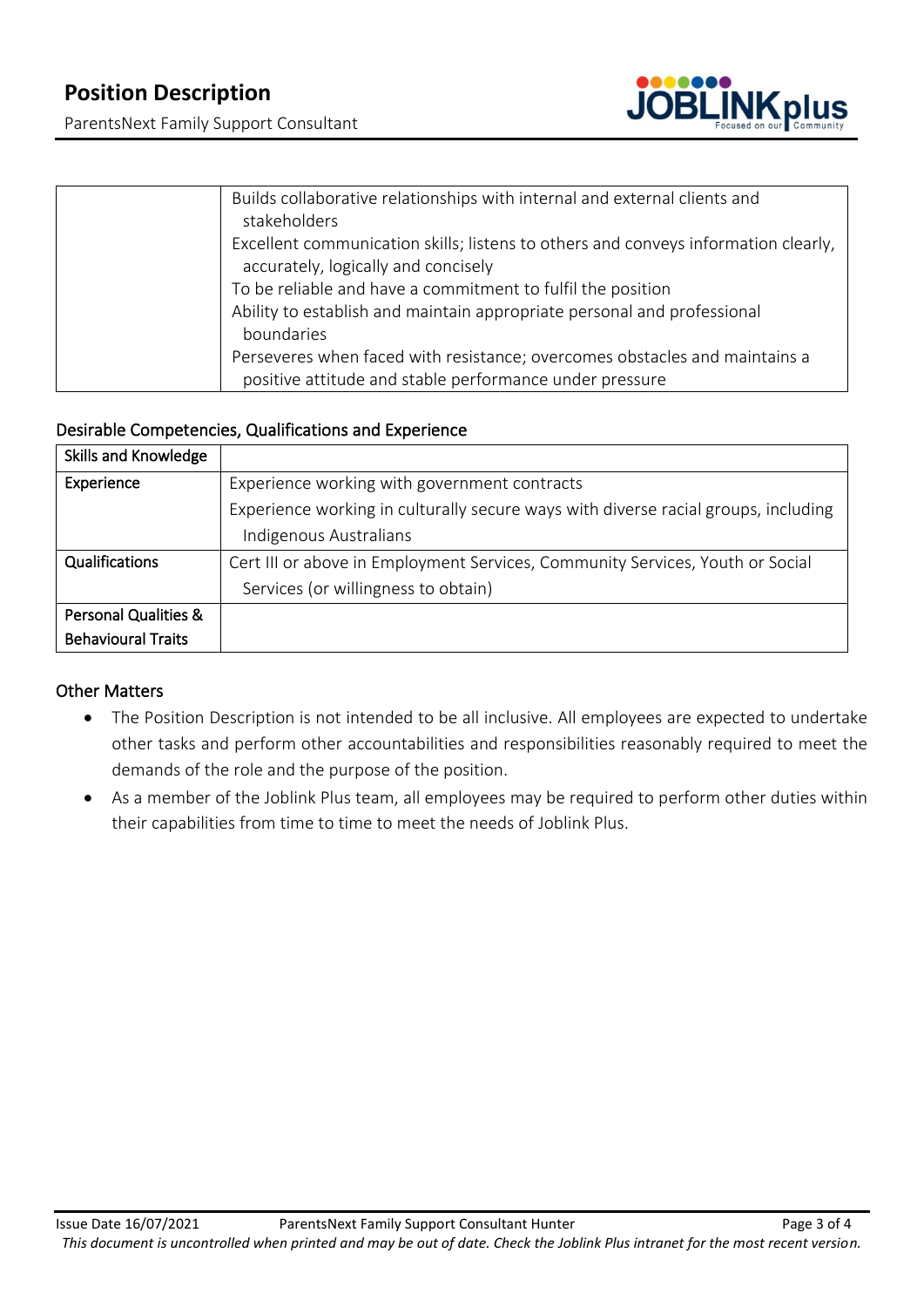ParentsNext Family Support Consultant



| Builds collaborative relationships with internal and external clients and<br>stakeholders                                 |
|---------------------------------------------------------------------------------------------------------------------------|
| Excellent communication skills; listens to others and conveys information clearly,<br>accurately, logically and concisely |
| To be reliable and have a commitment to fulfil the position                                                               |
| Ability to establish and maintain appropriate personal and professional                                                   |
| boundaries                                                                                                                |
| Perseveres when faced with resistance; overcomes obstacles and maintains a                                                |
| positive attitude and stable performance under pressure                                                                   |

#### Desirable Competencies, Qualifications and Experience

| Skills and Knowledge            |                                                                                    |
|---------------------------------|------------------------------------------------------------------------------------|
| Experience                      | Experience working with government contracts                                       |
|                                 | Experience working in culturally secure ways with diverse racial groups, including |
|                                 | Indigenous Australians                                                             |
| Qualifications                  | Cert III or above in Employment Services, Community Services, Youth or Social      |
|                                 | Services (or willingness to obtain)                                                |
| <b>Personal Qualities &amp;</b> |                                                                                    |
| <b>Behavioural Traits</b>       |                                                                                    |

# Other Matters

- The Position Description is not intended to be all inclusive. All employees are expected to undertake other tasks and perform other accountabilities and responsibilities reasonably required to meet the demands of the role and the purpose of the position.
- As a member of the Joblink Plus team, all employees may be required to perform other duties within their capabilities from time to time to meet the needs of Joblink Plus.